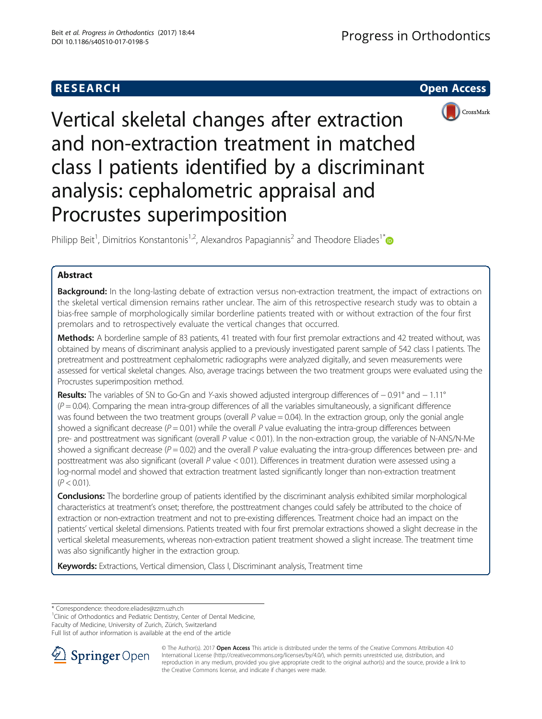

Vertical skeletal changes after extraction and non-extraction treatment in matched class I patients identified by a discriminant analysis: cephalometric appraisal and Procrustes superimposition

Philipp Beit<sup>1</sup>, Dimitrios Konstantonis<sup>1,2</sup>, Alexandros Papagiannis<sup>2</sup> and Theodore Eliades<sup>1\*</sup>

# Abstract

Background: In the long-lasting debate of extraction versus non-extraction treatment, the impact of extractions on the skeletal vertical dimension remains rather unclear. The aim of this retrospective research study was to obtain a bias-free sample of morphologically similar borderline patients treated with or without extraction of the four first premolars and to retrospectively evaluate the vertical changes that occurred.

Methods: A borderline sample of 83 patients, 41 treated with four first premolar extractions and 42 treated without, was obtained by means of discriminant analysis applied to a previously investigated parent sample of 542 class I patients. The pretreatment and posttreatment cephalometric radiographs were analyzed digitally, and seven measurements were assessed for vertical skeletal changes. Also, average tracings between the two treatment groups were evaluated using the Procrustes superimposition method.

Results: The variables of SN to Go-Gn and Y-axis showed adjusted intergroup differences of − 0.91° and − 1.11°  $(P = 0.04)$ . Comparing the mean intra-group differences of all the variables simultaneously, a significant difference was found between the two treatment groups (overall  $P$  value = 0.04). In the extraction group, only the gonial angle showed a significant decrease ( $P = 0.01$ ) while the overall P value evaluating the intra-group differences between pre- and posttreatment was significant (overall P value < 0.01). In the non-extraction group, the variable of N-ANS/N-Me showed a significant decrease ( $P = 0.02$ ) and the overall P value evaluating the intra-group differences between pre- and posttreatment was also significant (overall P value < 0.01). Differences in treatment duration were assessed using a log-normal model and showed that extraction treatment lasted significantly longer than non-extraction treatment  $(P < 0.01)$ .

Conclusions: The borderline group of patients identified by the discriminant analysis exhibited similar morphological characteristics at treatment's onset; therefore, the posttreatment changes could safely be attributed to the choice of extraction or non-extraction treatment and not to pre-existing differences. Treatment choice had an impact on the patients' vertical skeletal dimensions. Patients treated with four first premolar extractions showed a slight decrease in the vertical skeletal measurements, whereas non-extraction patient treatment showed a slight increase. The treatment time was also significantly higher in the extraction group.

Keywords: Extractions, Vertical dimension, Class I, Discriminant analysis, Treatment time

\* Correspondence: [theodore.eliades@zzm.uzh.ch](mailto:theodore.eliades@zzm.uzh.ch) <sup>1</sup>

<sup>1</sup> Clinic of Orthodontics and Pediatric Dentistry, Center of Dental Medicine, Faculty of Medicine, University of Zurich, Zürich, Switzerland

Full list of author information is available at the end of the article



© The Author(s). 2017 Open Access This article is distributed under the terms of the Creative Commons Attribution 4.0 International License ([http://creativecommons.org/licenses/by/4.0/\)](http://creativecommons.org/licenses/by/4.0/), which permits unrestricted use, distribution, and reproduction in any medium, provided you give appropriate credit to the original author(s) and the source, provide a link to the Creative Commons license, and indicate if changes were made.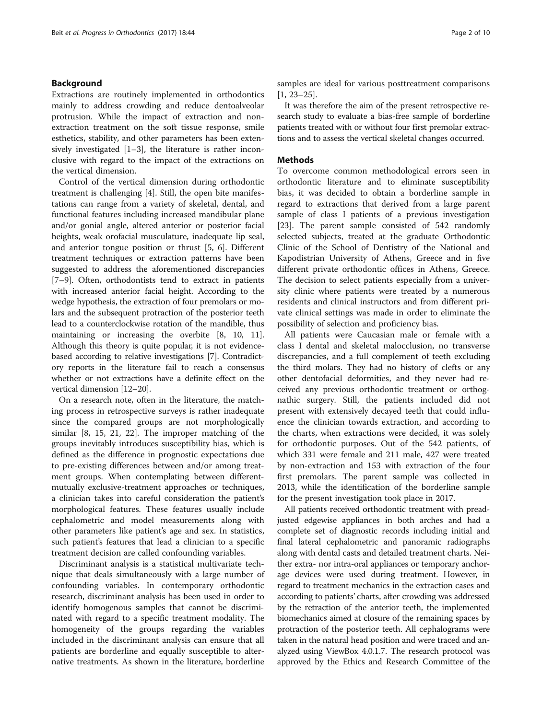# Background

Extractions are routinely implemented in orthodontics mainly to address crowding and reduce dentoalveolar protrusion. While the impact of extraction and nonextraction treatment on the soft tissue response, smile esthetics, stability, and other parameters has been extensively investigated [\[1](#page-8-0)–[3](#page-8-0)], the literature is rather inconclusive with regard to the impact of the extractions on the vertical dimension.

Control of the vertical dimension during orthodontic treatment is challenging [\[4](#page-8-0)]. Still, the open bite manifestations can range from a variety of skeletal, dental, and functional features including increased mandibular plane and/or gonial angle, altered anterior or posterior facial heights, weak orofacial musculature, inadequate lip seal, and anterior tongue position or thrust [[5, 6](#page-8-0)]. Different treatment techniques or extraction patterns have been suggested to address the aforementioned discrepancies [[7](#page-8-0)–[9\]](#page-8-0). Often, orthodontists tend to extract in patients with increased anterior facial height. According to the wedge hypothesis, the extraction of four premolars or molars and the subsequent protraction of the posterior teeth lead to a counterclockwise rotation of the mandible, thus maintaining or increasing the overbite [\[8](#page-8-0), [10, 11](#page-8-0)]. Although this theory is quite popular, it is not evidencebased according to relative investigations [[7\]](#page-8-0). Contradictory reports in the literature fail to reach a consensus whether or not extractions have a definite effect on the vertical dimension [[12](#page-8-0)–[20\]](#page-8-0).

On a research note, often in the literature, the matching process in retrospective surveys is rather inadequate since the compared groups are not morphologically similar [\[8](#page-8-0), [15](#page-8-0), [21,](#page-8-0) [22\]](#page-9-0). The improper matching of the groups inevitably introduces susceptibility bias, which is defined as the difference in prognostic expectations due to pre-existing differences between and/or among treatment groups. When contemplating between differentmutually exclusive-treatment approaches or techniques, a clinician takes into careful consideration the patient's morphological features. These features usually include cephalometric and model measurements along with other parameters like patient's age and sex. In statistics, such patient's features that lead a clinician to a specific treatment decision are called confounding variables.

Discriminant analysis is a statistical multivariate technique that deals simultaneously with a large number of confounding variables. In contemporary orthodontic research, discriminant analysis has been used in order to identify homogenous samples that cannot be discriminated with regard to a specific treatment modality. The homogeneity of the groups regarding the variables included in the discriminant analysis can ensure that all patients are borderline and equally susceptible to alternative treatments. As shown in the literature, borderline

samples are ideal for various posttreatment comparisons [[1,](#page-8-0) [23](#page-9-0)–[25](#page-9-0)].

It was therefore the aim of the present retrospective research study to evaluate a bias-free sample of borderline patients treated with or without four first premolar extractions and to assess the vertical skeletal changes occurred.

### Methods

To overcome common methodological errors seen in orthodontic literature and to eliminate susceptibility bias, it was decided to obtain a borderline sample in regard to extractions that derived from a large parent sample of class I patients of a previous investigation [[23\]](#page-9-0). The parent sample consisted of 542 randomly selected subjects, treated at the graduate Orthodontic Clinic of the School of Dentistry of the National and Kapodistrian University of Athens, Greece and in five different private orthodontic offices in Athens, Greece. The decision to select patients especially from a university clinic where patients were treated by a numerous residents and clinical instructors and from different private clinical settings was made in order to eliminate the possibility of selection and proficiency bias.

All patients were Caucasian male or female with a class I dental and skeletal malocclusion, no transverse discrepancies, and a full complement of teeth excluding the third molars. They had no history of clefts or any other dentofacial deformities, and they never had received any previous orthodontic treatment or orthognathic surgery. Still, the patients included did not present with extensively decayed teeth that could influence the clinician towards extraction, and according to the charts, when extractions were decided, it was solely for orthodontic purposes. Out of the 542 patients, of which 331 were female and 211 male, 427 were treated by non-extraction and 153 with extraction of the four first premolars. The parent sample was collected in 2013, while the identification of the borderline sample for the present investigation took place in 2017.

All patients received orthodontic treatment with preadjusted edgewise appliances in both arches and had a complete set of diagnostic records including initial and final lateral cephalometric and panoramic radiographs along with dental casts and detailed treatment charts. Neither extra- nor intra-oral appliances or temporary anchorage devices were used during treatment. However, in regard to treatment mechanics in the extraction cases and according to patients' charts, after crowding was addressed by the retraction of the anterior teeth, the implemented biomechanics aimed at closure of the remaining spaces by protraction of the posterior teeth. All cephalograms were taken in the natural head position and were traced and analyzed using ViewBox 4.0.1.7. The research protocol was approved by the Ethics and Research Committee of the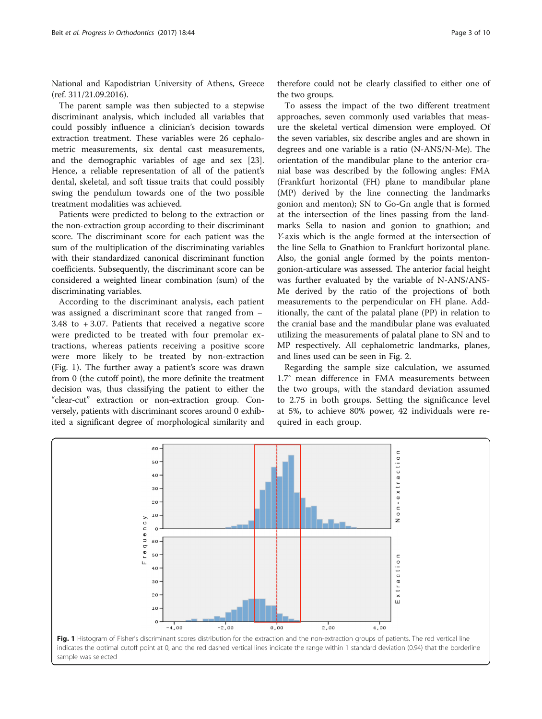<span id="page-2-0"></span>National and Kapodistrian University of Athens, Greece (ref. 311/21.09.2016).

The parent sample was then subjected to a stepwise discriminant analysis, which included all variables that could possibly influence a clinician's decision towards extraction treatment. These variables were 26 cephalometric measurements, six dental cast measurements, and the demographic variables of age and sex [\[23](#page-9-0)]. Hence, a reliable representation of all of the patient's dental, skeletal, and soft tissue traits that could possibly swing the pendulum towards one of the two possible treatment modalities was achieved.

Patients were predicted to belong to the extraction or the non-extraction group according to their discriminant score. The discriminant score for each patient was the sum of the multiplication of the discriminating variables with their standardized canonical discriminant function coefficients. Subsequently, the discriminant score can be considered a weighted linear combination (sum) of the discriminating variables.

According to the discriminant analysis, each patient was assigned a discriminant score that ranged from − 3.48 to + 3.07. Patients that received a negative score were predicted to be treated with four premolar extractions, whereas patients receiving a positive score were more likely to be treated by non-extraction (Fig. 1). The further away a patient's score was drawn from 0 (the cutoff point), the more definite the treatment decision was, thus classifying the patient to either the "clear-cut" extraction or non-extraction group. Conversely, patients with discriminant scores around 0 exhibited a significant degree of morphological similarity and therefore could not be clearly classified to either one of the two groups.

To assess the impact of the two different treatment approaches, seven commonly used variables that measure the skeletal vertical dimension were employed. Of the seven variables, six describe angles and are shown in degrees and one variable is a ratio (N-ANS/N-Me). The orientation of the mandibular plane to the anterior cranial base was described by the following angles: FMA (Frankfurt horizontal (FH) plane to mandibular plane (MP) derived by the line connecting the landmarks gonion and menton); SN to Go-Gn angle that is formed at the intersection of the lines passing from the landmarks Sella to nasion and gonion to gnathion; and Y-axis which is the angle formed at the intersection of the line Sella to Gnathion to Frankfurt horizontal plane. Also, the gonial angle formed by the points mentongonion-articulare was assessed. The anterior facial height was further evaluated by the variable of N-ANS/ANS-Me derived by the ratio of the projections of both measurements to the perpendicular on FH plane. Additionally, the cant of the palatal plane (PP) in relation to the cranial base and the mandibular plane was evaluated utilizing the measurements of palatal plane to SN and to MP respectively. All cephalometric landmarks, planes, and lines used can be seen in Fig. [2.](#page-3-0)

Regarding the sample size calculation, we assumed 1.7° mean difference in FMA measurements between the two groups, with the standard deviation assumed to 2.75 in both groups. Setting the significance level at 5%, to achieve 80% power, 42 individuals were required in each group.

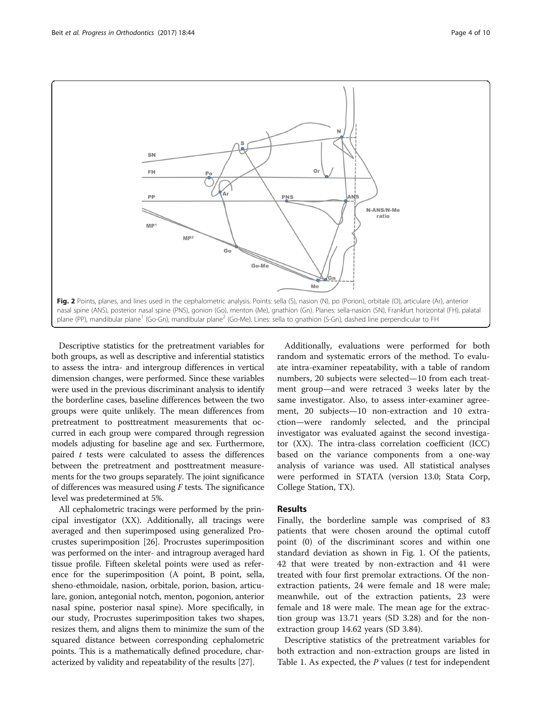<span id="page-3-0"></span>

Descriptive statistics for the pretreatment variables for both groups, as well as descriptive and inferential statistics to assess the intra- and intergroup differences in vertical dimension changes, were performed. Since these variables were used in the previous discriminant analysis to identify the borderline cases, baseline differences between the two groups were quite unlikely. The mean differences from pretreatment to posttreatment measurements that occurred in each group were compared through regression models adjusting for baseline age and sex. Furthermore, paired  $t$  tests were calculated to assess the differences between the pretreatment and posttreatment measurements for the two groups separately. The joint significance of differences was measured using  $F$  tests. The significance level was predetermined at 5%.

All cephalometric tracings were performed by the principal investigator (XX). Additionally, all tracings were averaged and then superimposed using generalized Procrustes superimposition [[26](#page-9-0)]. Procrustes superimposition was performed on the inter- and intragroup averaged hard tissue profile. Fifteen skeletal points were used as reference for the superimposition (A point, B point, sella, sheno-ethmoidale, nasion, orbitale, porion, basion, articulare, gonion, antegonial notch, menton, pogonion, anterior nasal spine, posterior nasal spine). More specifically, in our study, Procrustes superimposition takes two shapes, resizes them, and aligns them to minimize the sum of the squared distance between corresponding cephalometric points. This is a mathematically defined procedure, characterized by validity and repeatability of the results [[27](#page-9-0)].

Additionally, evaluations were performed for both random and systematic errors of the method. To evaluate intra-examiner repeatability, with a table of random numbers, 20 subjects were selected—10 from each treatment group—and were retraced 3 weeks later by the same investigator. Also, to assess inter-examiner agreement, 20 subjects—10 non-extraction and 10 extraction—were randomly selected, and the principal investigator was evaluated against the second investigator (XX). The intra-class correlation coefficient (ICC) based on the variance components from a one-way analysis of variance was used. All statistical analyses were performed in STATA (version 13.0; Stata Corp, College Station, TX).

# Results

Finally, the borderline sample was comprised of 83 patients that were chosen around the optimal cutoff point (0) of the discriminant scores and within one standard deviation as shown in Fig. [1.](#page-2-0) Of the patients, 42 that were treated by non-extraction and 41 were treated with four first premolar extractions. Of the nonextraction patients, 24 were female and 18 were male; meanwhile, out of the extraction patients, 23 were female and 18 were male. The mean age for the extraction group was 13.71 years (SD 3.28) and for the nonextraction group 14.62 years (SD 3.84).

Descriptive statistics of the pretreatment variables for both extraction and non-extraction groups are listed in Table [1.](#page-4-0) As expected, the  $P$  values ( $t$  test for independent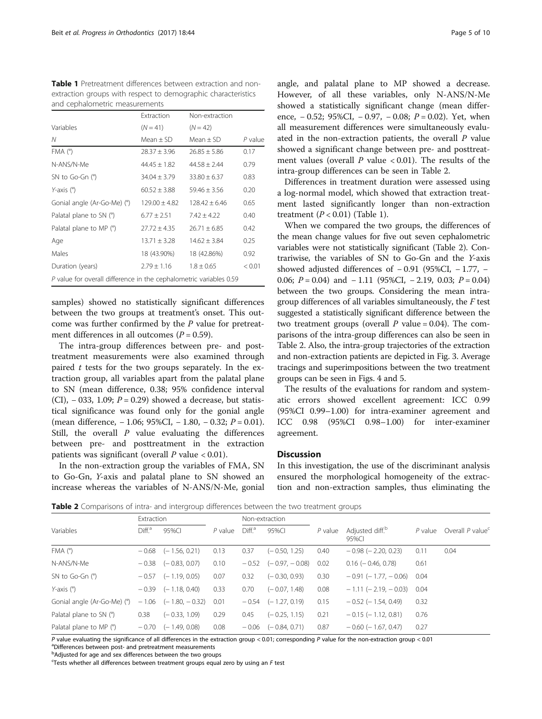<span id="page-4-0"></span>

| <b>Table 1</b> Pretreatment differences between extraction and non- |
|---------------------------------------------------------------------|
| extraction groups with respect to demographic characteristics       |
| and cephalometric measurements                                      |

|                                                                    | Extraction       | Non-extraction   |           |  |  |  |  |  |  |
|--------------------------------------------------------------------|------------------|------------------|-----------|--|--|--|--|--|--|
| Variables                                                          | $(N = 41)$       | $(N = 42)$       |           |  |  |  |  |  |  |
| Ν                                                                  | Mean $\pm$ SD    | Mean $\pm$ SD    | $P$ value |  |  |  |  |  |  |
| FMA (°)                                                            | $28.37 \pm 3.96$ | $26.85 \pm 5.86$ | 0.17      |  |  |  |  |  |  |
| N-ANS/N-Me                                                         | $44.45 + 1.82$   | $44.58 + 2.44$   | 0.79      |  |  |  |  |  |  |
| $SN$ to Go-Gn $(^\circ)$                                           | $34.04 \pm 3.79$ | $33.80 \pm 6.37$ | 0.83      |  |  |  |  |  |  |
| $Y$ -axis $(°)$                                                    | $60.52 \pm 3.88$ | $59.46 + 3.56$   | 0.20      |  |  |  |  |  |  |
| Gonial angle (Ar-Go-Me) (°)                                        | $129.00 + 4.82$  | $128.42 + 6.46$  | 0.65      |  |  |  |  |  |  |
| Palatal plane to SN (°)                                            | $6.77 \pm 2.51$  | $7.42 \pm 4.22$  | 0.40      |  |  |  |  |  |  |
| Palatal plane to MP (°)                                            | $27.72 \pm 4.35$ | $26.71 + 6.85$   | 0.42      |  |  |  |  |  |  |
| Age                                                                | $13.71 + 3.28$   | $14.62 + 3.84$   | 0.25      |  |  |  |  |  |  |
| Males                                                              | 18 (43.90%)      | 18 (42.86%)      | 0.92      |  |  |  |  |  |  |
| Duration (years)                                                   | $2.79 + 1.16$    | $1.8 \pm 0.65$   | < 0.01    |  |  |  |  |  |  |
| P value for overall difference in the cephalometric variables 0.59 |                  |                  |           |  |  |  |  |  |  |

samples) showed no statistically significant differences between the two groups at treatment's onset. This outcome was further confirmed by the P value for pretreatment differences in all outcomes  $(P = 0.59)$ .

The intra-group differences between pre- and posttreatment measurements were also examined through paired  $t$  tests for the two groups separately. In the extraction group, all variables apart from the palatal plane to SN (mean difference, 0.38; 95% confidence interval (CI),  $-033$ , 1.09;  $P = 0.29$ ) showed a decrease, but statistical significance was found only for the gonial angle (mean difference, − 1.06; 95%CI, − 1.80, − 0.32; P = 0.01). Still, the overall  $P$  value evaluating the differences between pre- and posttreatment in the extraction patients was significant (overall  $P$  value  $< 0.01$ ).

In the non-extraction group the variables of FMA, SN to Go-Gn, Y-axis and palatal plane to SN showed an increase whereas the variables of N-ANS/N-Me, gonial angle, and palatal plane to MP showed a decrease. However, of all these variables, only N-ANS/N-Me showed a statistically significant change (mean difference,  $-0.52$ ; 95%CI,  $-0.97$ ,  $-0.08$ ;  $P = 0.02$ ). Yet, when all measurement differences were simultaneously evaluated in the non-extraction patients, the overall  $P$  value showed a significant change between pre- and posttreatment values (overall  $P$  value  $< 0.01$ ). The results of the intra-group differences can be seen in Table 2.

Differences in treatment duration were assessed using a log-normal model, which showed that extraction treatment lasted significantly longer than non-extraction treatment  $(P < 0.01)$  (Table 1).

When we compared the two groups, the differences of the mean change values for five out seven cephalometric variables were not statistically significant (Table 2). Contrariwise, the variables of SN to Go-Gn and the Y-axis showed adjusted differences of − 0.91 (95%CI, − 1.77, − 0.06;  $P = 0.04$ ) and  $-1.11$  (95%CI,  $-2.19$ , 0.03;  $P = 0.04$ ) between the two groups. Considering the mean intragroup differences of all variables simultaneously, the  $F$  test suggested a statistically significant difference between the two treatment groups (overall  $P$  value = 0.04). The comparisons of the intra-group differences can also be seen in Table 2. Also, the intra-group trajectories of the extraction and non-extraction patients are depicted in Fig. [3.](#page-5-0) Average tracings and superimpositions between the two treatment groups can be seen in Figs. [4](#page-6-0) and [5](#page-6-0).

The results of the evaluations for random and systematic errors showed excellent agreement: ICC 0.99 (95%CI 0.99–1.00) for intra-examiner agreement and ICC 0.98 (95%CI 0.98–1.00) for inter-examiner agreement.

#### **Discussion**

In this investigation, the use of the discriminant analysis ensured the morphological homogeneity of the extraction and non-extraction samples, thus eliminating the

Table 2 Comparisons of intra- and intergroup differences between the two treatment groups

| Variables                   | Extraction        |                  |           | Non-extraction    |                  |           |                                      |           |                              |
|-----------------------------|-------------------|------------------|-----------|-------------------|------------------|-----------|--------------------------------------|-----------|------------------------------|
|                             | Diff <sup>a</sup> | 95%CI            | $P$ value | Diff <sup>a</sup> | 95%CI            | $P$ value | Adjusted diff. <sup>b</sup><br>95%CI | $P$ value | Overall P value <sup>®</sup> |
| FMA (°)                     | $-0.68$           | $(-1.56, 0.21)$  | 0.13      | 0.37              | $(-0.50, 1.25)$  | 0.40      | $-0.98$ ( $-2.20, 0.23$ )            | 0.11      | 0.04                         |
| N-ANS/N-Me                  | $-0.38$           | $(-0.83, 0.07)$  | 0.10      | $-0.52$           | $(-0.97, -0.08)$ | 0.02      | $0.16$ ( $-0.46$ , 0.78)             | 0.61      |                              |
| $SN$ to Go-Gn $(^\circ)$    | $-0.57$           | $(-1.19, 0.05)$  | 0.07      | 0.32              | $(-0.30, 0.93)$  | 0.30      | $-0.91$ ( $-1.77$ , $-0.06$ )        | 0.04      |                              |
| $Y$ -axis $(°)$             | $-0.39$           | $(-1.18, 0.40)$  | 0.33      | 0.70              | $(-0.07, 1.48)$  | 0.08      | $-1.11$ ( $-2.19$ , $-0.03$ )        | 0.04      |                              |
| Gonial angle (Ar-Go-Me) (°) | $-1.06$           | $(-1.80, -0.32)$ | 0.01      | $-0.54$           | $(-1.27, 0.19)$  | 0.15      | $-0.52$ ( $-1.54$ , 0.49)            | 0.32      |                              |
| Palatal plane to SN (°)     | 0.38              | $(-0.33, 1.09)$  | 0.29      | 0.45              | $(-0.25, 1.15)$  | 0.21      | $-0.15$ ( $-1.12$ , 0.81)            | 0.76      |                              |
| Palatal plane to MP (°)     | $-0.70$           | $(-1.49, 0.08)$  | 0.08      | $-0.06$           | $(-0.84, 0.71)$  | 0.87      | $-0.60$ ( $-1.67, 0.47$ )            | 0.27      |                              |

P value evaluating the significance of all differences in the extraction group < 0.01; corresponding P value for the non-extraction group < 0.01 <sup>a</sup>Differences between post- and pretreatment measurements

<sup>b</sup>Adjusted for age and sex differences between the two groups

Tests whether all differences between treatment groups equal zero by using an  $F$  test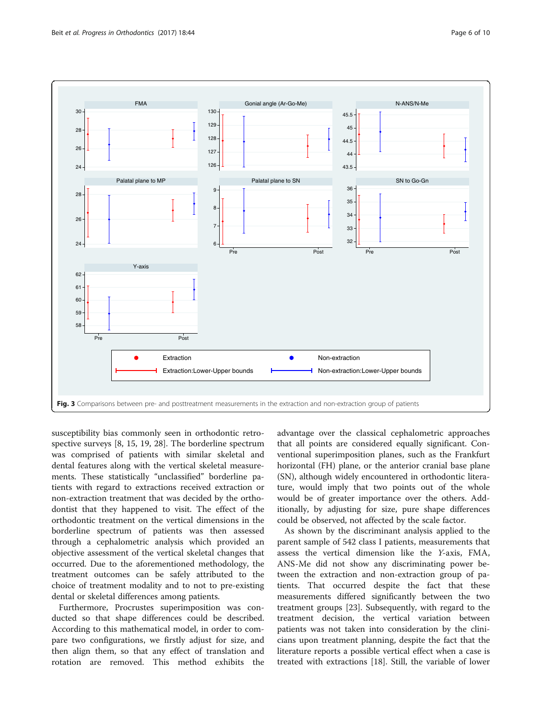

<span id="page-5-0"></span>

susceptibility bias commonly seen in orthodontic retrospective surveys [[8, 15, 19](#page-8-0), [28](#page-9-0)]. The borderline spectrum was comprised of patients with similar skeletal and dental features along with the vertical skeletal measurements. These statistically "unclassified" borderline patients with regard to extractions received extraction or non-extraction treatment that was decided by the orthodontist that they happened to visit. The effect of the orthodontic treatment on the vertical dimensions in the borderline spectrum of patients was then assessed through a cephalometric analysis which provided an objective assessment of the vertical skeletal changes that occurred. Due to the aforementioned methodology, the treatment outcomes can be safely attributed to the choice of treatment modality and to not to pre-existing dental or skeletal differences among patients.

Furthermore, Procrustes superimposition was conducted so that shape differences could be described. According to this mathematical model, in order to compare two configurations, we firstly adjust for size, and then align them, so that any effect of translation and rotation are removed. This method exhibits the

advantage over the classical cephalometric approaches that all points are considered equally significant. Conventional superimposition planes, such as the Frankfurt horizontal (FH) plane, or the anterior cranial base plane (SN), although widely encountered in orthodontic literature, would imply that two points out of the whole would be of greater importance over the others. Additionally, by adjusting for size, pure shape differences could be observed, not affected by the scale factor.

As shown by the discriminant analysis applied to the parent sample of 542 class I patients, measurements that assess the vertical dimension like the Y-axis, FMA, ANS-Me did not show any discriminating power between the extraction and non-extraction group of patients. That occurred despite the fact that these measurements differed significantly between the two treatment groups [\[23](#page-9-0)]. Subsequently, with regard to the treatment decision, the vertical variation between patients was not taken into consideration by the clinicians upon treatment planning, despite the fact that the literature reports a possible vertical effect when a case is treated with extractions [[18\]](#page-8-0). Still, the variable of lower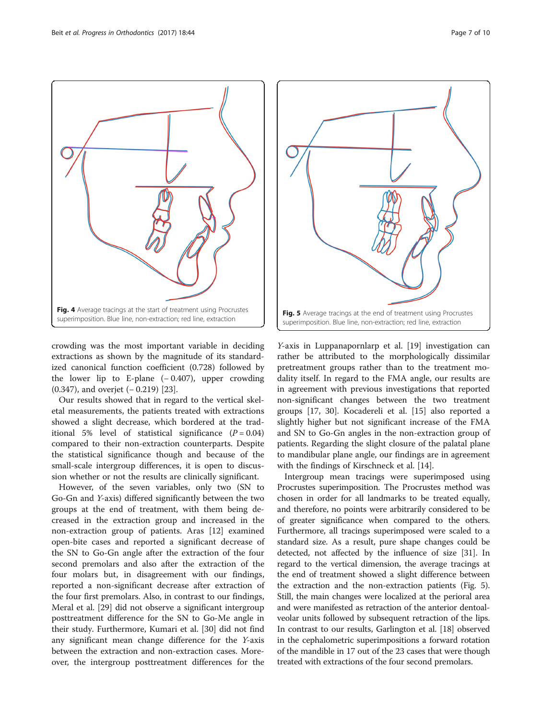<span id="page-6-0"></span>

crowding was the most important variable in deciding extractions as shown by the magnitude of its standardized canonical function coefficient (0.728) followed by the lower lip to E-plane  $(-0.407)$ , upper crowding (0.347), and overjet (− 0.219) [[23](#page-9-0)].

Our results showed that in regard to the vertical skeletal measurements, the patients treated with extractions showed a slight decrease, which bordered at the traditional 5% level of statistical significance  $(P = 0.04)$ compared to their non-extraction counterparts. Despite the statistical significance though and because of the small-scale intergroup differences, it is open to discussion whether or not the results are clinically significant.

However, of the seven variables, only two (SN to Go-Gn and Y-axis) differed significantly between the two groups at the end of treatment, with them being decreased in the extraction group and increased in the non-extraction group of patients. Aras [[12\]](#page-8-0) examined open-bite cases and reported a significant decrease of the SN to Go-Gn angle after the extraction of the four second premolars and also after the extraction of the four molars but, in disagreement with our findings, reported a non-significant decrease after extraction of the four first premolars. Also, in contrast to our findings, Meral et al. [\[29](#page-9-0)] did not observe a significant intergroup posttreatment difference for the SN to Go-Me angle in their study. Furthermore, Kumari et al. [[30\]](#page-9-0) did not find any significant mean change difference for the Y-axis between the extraction and non-extraction cases. Moreover, the intergroup posttreatment differences for the



Y-axis in Luppanapornlarp et al. [\[19](#page-8-0)] investigation can rather be attributed to the morphologically dissimilar pretreatment groups rather than to the treatment modality itself. In regard to the FMA angle, our results are in agreement with previous investigations that reported non-significant changes between the two treatment groups [[17](#page-8-0), [30](#page-9-0)]. Kocadereli et al. [[15](#page-8-0)] also reported a slightly higher but not significant increase of the FMA and SN to Go-Gn angles in the non-extraction group of patients. Regarding the slight closure of the palatal plane to mandibular plane angle, our findings are in agreement with the findings of Kirschneck et al. [[14\]](#page-8-0).

Intergroup mean tracings were superimposed using Procrustes superimposition. The Procrustes method was chosen in order for all landmarks to be treated equally, and therefore, no points were arbitrarily considered to be of greater significance when compared to the others. Furthermore, all tracings superimposed were scaled to a standard size. As a result, pure shape changes could be detected, not affected by the influence of size [\[31\]](#page-9-0). In regard to the vertical dimension, the average tracings at the end of treatment showed a slight difference between the extraction and the non-extraction patients (Fig. 5). Still, the main changes were localized at the perioral area and were manifested as retraction of the anterior dentoalveolar units followed by subsequent retraction of the lips. In contrast to our results, Garlington et al. [[18](#page-8-0)] observed in the cephalometric superimpositions a forward rotation of the mandible in 17 out of the 23 cases that were though treated with extractions of the four second premolars.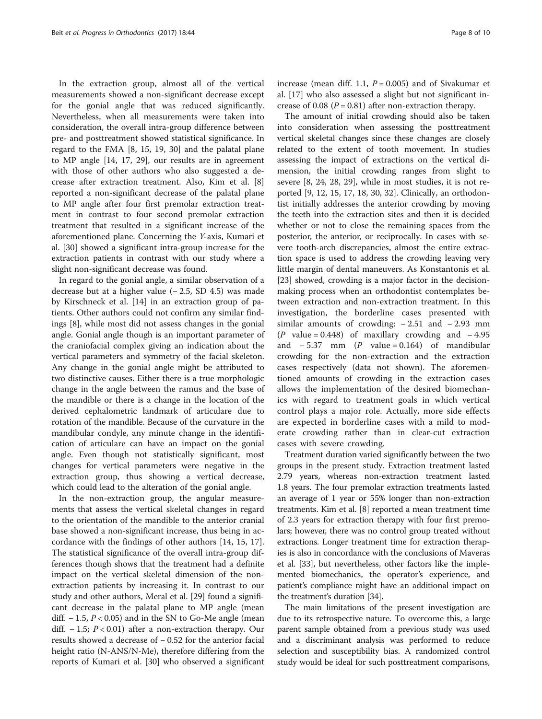In the extraction group, almost all of the vertical measurements showed a non-significant decrease except for the gonial angle that was reduced significantly. Nevertheless, when all measurements were taken into consideration, the overall intra-group difference between pre- and posttreatment showed statistical significance. In regard to the FMA [[8](#page-8-0), [15](#page-8-0), [19,](#page-8-0) [30\]](#page-9-0) and the palatal plane to MP angle [\[14, 17](#page-8-0), [29\]](#page-9-0), our results are in agreement with those of other authors who also suggested a decrease after extraction treatment. Also, Kim et al. [\[8](#page-8-0)] reported a non-significant decrease of the palatal plane to MP angle after four first premolar extraction treatment in contrast to four second premolar extraction treatment that resulted in a significant increase of the aforementioned plane. Concerning the Y-axis, Kumari et al. [\[30](#page-9-0)] showed a significant intra-group increase for the extraction patients in contrast with our study where a slight non-significant decrease was found.

In regard to the gonial angle, a similar observation of a decrease but at a higher value (− 2.5, SD 4.5) was made by Kirschneck et al. [\[14](#page-8-0)] in an extraction group of patients. Other authors could not confirm any similar findings [[8\]](#page-8-0), while most did not assess changes in the gonial angle. Gonial angle though is an important parameter of the craniofacial complex giving an indication about the vertical parameters and symmetry of the facial skeleton. Any change in the gonial angle might be attributed to two distinctive causes. Either there is a true morphologic change in the angle between the ramus and the base of the mandible or there is a change in the location of the derived cephalometric landmark of articulare due to rotation of the mandible. Because of the curvature in the mandibular condyle, any minute change in the identification of articulare can have an impact on the gonial angle. Even though not statistically significant, most changes for vertical parameters were negative in the extraction group, thus showing a vertical decrease, which could lead to the alteration of the gonial angle.

In the non-extraction group, the angular measurements that assess the vertical skeletal changes in regard to the orientation of the mandible to the anterior cranial base showed a non-significant increase, thus being in accordance with the findings of other authors [[14](#page-8-0), [15, 17](#page-8-0)]. The statistical significance of the overall intra-group differences though shows that the treatment had a definite impact on the vertical skeletal dimension of the nonextraction patients by increasing it. In contrast to our study and other authors, Meral et al. [\[29](#page-9-0)] found a significant decrease in the palatal plane to MP angle (mean diff.  $-1.5$ ,  $P < 0.05$ ) and in the SN to Go-Me angle (mean diff.  $-1.5$ ;  $P < 0.01$ ) after a non-extraction therapy. Our results showed a decrease of − 0.52 for the anterior facial height ratio (N-ANS/N-Me), therefore differing from the reports of Kumari et al. [[30\]](#page-9-0) who observed a significant increase (mean diff. 1.1,  $P = 0.005$ ) and of Sivakumar et al. [\[17](#page-8-0)] who also assessed a slight but not significant increase of 0.08 ( $P = 0.81$ ) after non-extraction therapy.

The amount of initial crowding should also be taken into consideration when assessing the posttreatment vertical skeletal changes since these changes are closely related to the extent of tooth movement. In studies assessing the impact of extractions on the vertical dimension, the initial crowding ranges from slight to severe [[8,](#page-8-0) [24, 28](#page-9-0), [29\]](#page-9-0), while in most studies, it is not reported [[9, 12, 15, 17, 18,](#page-8-0) [30](#page-9-0), [32\]](#page-9-0). Clinically, an orthodontist initially addresses the anterior crowding by moving the teeth into the extraction sites and then it is decided whether or not to close the remaining spaces from the posterior, the anterior, or reciprocally. In cases with severe tooth-arch discrepancies, almost the entire extraction space is used to address the crowding leaving very little margin of dental maneuvers. As Konstantonis et al. [[23\]](#page-9-0) showed, crowding is a major factor in the decisionmaking process when an orthodontist contemplates between extraction and non-extraction treatment. In this investigation, the borderline cases presented with similar amounts of crowding: −2.51 and −2.93 mm (P value =  $0.448$ ) of maxillary crowding and  $-4.95$ and  $-5.37$  mm (P value = 0.164) of mandibular crowding for the non-extraction and the extraction cases respectively (data not shown). The aforementioned amounts of crowding in the extraction cases allows the implementation of the desired biomechanics with regard to treatment goals in which vertical control plays a major role. Actually, more side effects are expected in borderline cases with a mild to moderate crowding rather than in clear-cut extraction cases with severe crowding.

Treatment duration varied significantly between the two groups in the present study. Extraction treatment lasted 2.79 years, whereas non-extraction treatment lasted 1.8 years. The four premolar extraction treatments lasted an average of 1 year or 55% longer than non-extraction treatments. Kim et al. [\[8\]](#page-8-0) reported a mean treatment time of 2.3 years for extraction therapy with four first premolars; however, there was no control group treated without extractions. Longer treatment time for extraction therapies is also in concordance with the conclusions of Maveras et al. [[33](#page-9-0)], but nevertheless, other factors like the implemented biomechanics, the operator's experience, and patient's compliance might have an additional impact on the treatment's duration [[34](#page-9-0)].

The main limitations of the present investigation are due to its retrospective nature. To overcome this, a large parent sample obtained from a previous study was used and a discriminant analysis was performed to reduce selection and susceptibility bias. A randomized control study would be ideal for such posttreatment comparisons,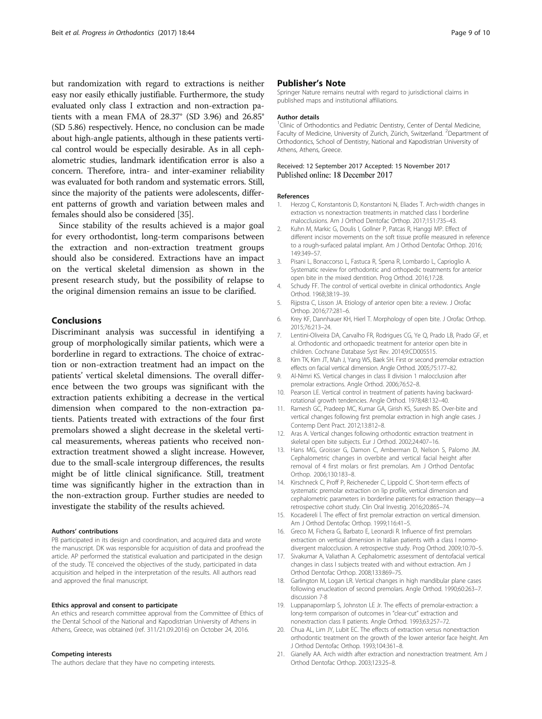<span id="page-8-0"></span>but randomization with regard to extractions is neither easy nor easily ethically justifiable. Furthermore, the study evaluated only class I extraction and non-extraction patients with a mean FMA of 28.37° (SD 3.96) and 26.85° (SD 5.86) respectively. Hence, no conclusion can be made about high-angle patients, although in these patients vertical control would be especially desirable. As in all cephalometric studies, landmark identification error is also a concern. Therefore, intra- and inter-examiner reliability was evaluated for both random and systematic errors. Still, since the majority of the patients were adolescents, different patterns of growth and variation between males and females should also be considered [\[35\]](#page-9-0).

Since stability of the results achieved is a major goal for every orthodontist, long-term comparisons between the extraction and non-extraction treatment groups should also be considered. Extractions have an impact on the vertical skeletal dimension as shown in the present research study, but the possibility of relapse to the original dimension remains an issue to be clarified.

## Conclusions

Discriminant analysis was successful in identifying a group of morphologically similar patients, which were a borderline in regard to extractions. The choice of extraction or non-extraction treatment had an impact on the patients' vertical skeletal dimensions. The overall difference between the two groups was significant with the extraction patients exhibiting a decrease in the vertical dimension when compared to the non-extraction patients. Patients treated with extractions of the four first premolars showed a slight decrease in the skeletal vertical measurements, whereas patients who received nonextraction treatment showed a slight increase. However, due to the small-scale intergroup differences, the results might be of little clinical significance. Still, treatment time was significantly higher in the extraction than in the non-extraction group. Further studies are needed to investigate the stability of the results achieved.

#### Authors' contributions

PB participated in its design and coordination, and acquired data and wrote the manuscript. DK was responsible for acquisition of data and proofread the article. AP performed the statistical evaluation and participated in the design of the study. TE conceived the objectives of the study, participated in data acquisition and helped in the interpretation of the results. All authors read and approved the final manuscript.

#### Ethics approval and consent to participate

An ethics and research committee approval from the Committee of Ethics of the Dental School of the National and Kapodistrian University of Athens in Athens, Greece, was obtained (ref. 311/21.09.2016) on October 24, 2016.

#### Competing interests

The authors declare that they have no competing interests.

## Publisher's Note

Springer Nature remains neutral with regard to jurisdictional claims in published maps and institutional affiliations.

#### Author details

<sup>1</sup> Clinic of Orthodontics and Pediatric Dentistry, Center of Dental Medicine, Faculty of Medicine, University of Zurich, Zürich, Switzerland. <sup>2</sup>Department of Orthodontics, School of Dentistry, National and Kapodistrian University of Athens, Athens, Greece.

### Received: 12 September 2017 Accepted: 15 November 2017 Published online: 18 December 2017

#### References

- 1. Herzog C, Konstantonis D, Konstantoni N, Eliades T. Arch-width changes in extraction vs nonextraction treatments in matched class I borderline malocclusions. Am J Orthod Dentofac Orthop. 2017;151:735–43.
- 2. Kuhn M, Markic G, Doulis I, Gollner P, Patcas R, Hanggi MP. Effect of different incisor movements on the soft tissue profile measured in reference to a rough-surfaced palatal implant. Am J Orthod Dentofac Orthop. 2016; 149:349–57.
- 3. Pisani L, Bonaccorso L, Fastuca R, Spena R, Lombardo L, Caprioglio A. Systematic review for orthodontic and orthopedic treatments for anterior open bite in the mixed dentition. Prog Orthod. 2016;17:28.
- 4. Schudy FF. The control of vertical overbite in clinical orthodontics. Angle Orthod. 1968;38:19–39.
- 5. Rijpstra C, Lisson JA. Etiology of anterior open bite: a review. J Orofac Orthop. 2016;77:281–6.
- 6. Krey KF, Dannhauer KH, Hierl T. Morphology of open bite. J Orofac Orthop. 2015;76:213–24.
- 7. Lentini-Oliveira DA, Carvalho FR, Rodrigues CG, Ye Q, Prado LB, Prado GF, et al. Orthodontic and orthopaedic treatment for anterior open bite in children. Cochrane Database Syst Rev. 2014;9:CD005515.
- 8. Kim TK, Kim JT, Mah J, Yang WS, Baek SH. First or second premolar extraction effects on facial vertical dimension. Angle Orthod. 2005;75:177–82.
- 9. Al-Nimri KS. Vertical changes in class II division 1 malocclusion after premolar extractions. Angle Orthod. 2006;76:52–8.
- 10. Pearson LE. Vertical control in treatment of patients having backwardrotational growth tendencies. Angle Orthod. 1978;48:132–40.
- 11. Ramesh GC, Pradeep MC, Kumar GA, Girish KS, Suresh BS. Over-bite and vertical changes following first premolar extraction in high angle cases. J Contemp Dent Pract. 2012;13:812–8.
- 12. Aras A. Vertical changes following orthodontic extraction treatment in skeletal open bite subjects. Eur J Orthod. 2002;24:407–16.
- 13. Hans MG, Groisser G, Damon C, Amberman D, Nelson S, Palomo JM. Cephalometric changes in overbite and vertical facial height after removal of 4 first molars or first premolars. Am J Orthod Dentofac Orthop. 2006;130:183–8.
- 14. Kirschneck C, Proff P, Reicheneder C, Lippold C. Short-term effects of systematic premolar extraction on lip profile, vertical dimension and cephalometric parameters in borderline patients for extraction therapy—a retrospective cohort study. Clin Oral Investig. 2016;20:865–74.
- 15. Kocadereli İ. The effect of first premolar extraction on vertical dimension. Am J Orthod Dentofac Orthop. 1999;116:41–5.
- 16. Greco M, Fichera G, Barbato E, Leonardi R. Influence of first premolars extraction on vertical dimension in Italian patients with a class I normodivergent malocclusion. A retrospective study. Prog Orthod. 2009;10:70–5.
- 17. Sivakumar A, Valiathan A. Cephalometric assessment of dentofacial vertical changes in class I subjects treated with and without extraction. Am J Orthod Dentofac Orthop. 2008;133:869–75.
- 18. Garlington M, Logan LR. Vertical changes in high mandibular plane cases following enucleation of second premolars. Angle Orthod. 1990;60:263–7. discussion 7-8
- 19. Luppanapornlarp S, Johnston LE Jr. The effects of premolar-extraction: a long-term comparison of outcomes in "clear-cut" extraction and nonextraction class II patients. Angle Orthod. 1993;63:257–72.
- 20. Chua AL, Lim JY, Lubit EC. The effects of extraction versus nonextraction orthodontic treatment on the growth of the lower anterior face height. Am J Orthod Dentofac Orthop. 1993;104:361–8.
- 21. Gianelly AA. Arch width after extraction and nonextraction treatment. Am J Orthod Dentofac Orthop. 2003;123:25–8.